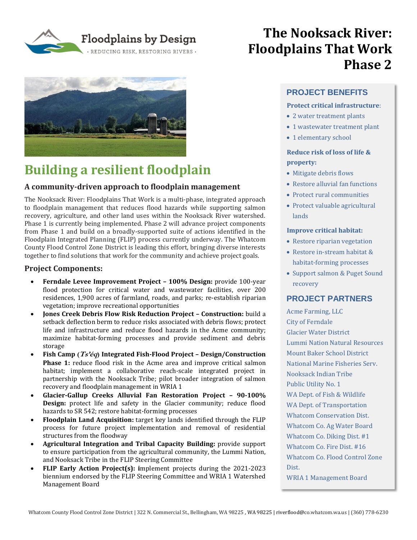Floodplains by Design REDUCING RISK, RESTORING RIVERS .



# **Building a resilient floodplain**

### **A community-driven approach to floodplain management**

The Nooksack River: Floodplains That Work is a multi-phase, integrated approach to floodplain management that reduces flood hazards while supporting salmon recovery, agriculture, and other land uses within the Nooksack River watershed. Phase 1 is currently being implemented. Phase 2 will advance project components from Phase 1 and build on a broadly-supported suite of actions identified in the Floodplain Integrated Planning (FLIP) process currently underway. The Whatcom County Flood Control Zone District is leading this effort, bringing diverse interests together to find solutions that work for the community and achieve project goals.

#### **Project Components:**

- **Ferndale Levee Improvement Project – 100% Design:** provide 100-year flood protection for critical water and wastewater facilities, over 200 residences, 1,900 acres of farmland, roads, and parks; re-establish riparian vegetation; improve recreational opportunities
- **Jones Creek Debris Flow Risk Reduction Project – Construction:** build a setback deflection berm to reduce risks associated with debris flows; protect life and infrastructure and reduce flood hazards in the Acme community; maximize habitat-forming processes and provide sediment and debris storage
- **Fish Camp (Ts'éq) Integrated Fish-Flood Project – Design/Construction Phase 1:** reduce flood risk in the Acme area and improve critical salmon habitat; implement a collaborative reach-scale integrated project in partnership with the Nooksack Tribe; pilot broader integration of salmon recovery and floodplain management in WRIA 1
- **Glacier-Gallup Creeks Alluvial Fan Restoration Project – 90-100% Design:** protect life and safety in the Glacier community; reduce flood hazards to SR 542; restore habitat-forming processes
- **Floodplain Land Acquisition:** target key lands identified through the FLIP process for future project implementation and removal of residential structures from the floodway
- **Agricultural Integration and Tribal Capacity Building:** provide support to ensure participation from the agricultural community, the Lummi Nation, and Nooksack Tribe in the FLIP Steering Committee
- **FLIP Early Action Project(s): i**mplement projects during the 2021-2023 biennium endorsed by the FLIP Steering Committee and WRIA 1 Watershed Management Board

## **The Nooksack River: Floodplains That Work Phase 2**

## **PROJECT BENEFITS**

## **Protect critical infrastructure**:

- 2 water treatment plants
- 1 wastewater treatment plant
- 1 elementary school

## **Reduce risk of loss of life & property:**

- Mitigate debris flows
- Restore alluvial fan functions
- Protect rural communities
- Protect valuable agricultural lands

### **Improve critical habitat:**

- Restore riparian vegetation
- Restore in-stream habitat & habitat-forming processes
- Support salmon & Puget Sound recovery

## **PROJECT PARTNERS**

Acme Farming, LLC City of Ferndale Glacier Water District Lummi Nation Natural Resources Mount Baker School District National Marine Fisheries Serv. Nooksack Indian Tribe Public Utility No. 1 WA Dept. of Fish & Wildlife WA Dept. of Transportation Whatcom Conservation Dist. Whatcom Co. Ag Water Board Whatcom Co. Diking Dist. #1 Whatcom Co. Fire Dist. #16 Whatcom Co. Flood Control Zone Dist. WRIA 1 Management Board